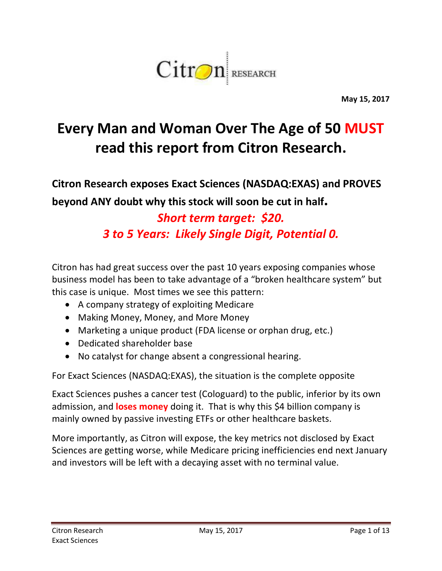

**May 15, 2017**

# **Every Man and Woman Over The Age of 50 MUST read this report from Citron Research.**

**Citron Research exposes Exact Sciences (NASDAQ:EXAS) and PROVES beyond ANY doubt why this stock will soon be cut in half.** 

## *Short term target: \$20. 3 to 5 Years: Likely Single Digit, Potential 0.*

Citron has had great success over the past 10 years exposing companies whose business model has been to take advantage of a "broken healthcare system" but this case is unique. Most times we see this pattern:

- A company strategy of exploiting Medicare
- Making Money, Money, and More Money
- Marketing a unique product (FDA license or orphan drug, etc.)
- Dedicated shareholder base
- No catalyst for change absent a congressional hearing.

For Exact Sciences (NASDAQ:EXAS), the situation is the complete opposite

Exact Sciences pushes a cancer test (Cologuard) to the public, inferior by its own admission, and **loses money** doing it. That is why this \$4 billion company is mainly owned by passive investing ETFs or other healthcare baskets.

More importantly, as Citron will expose, the key metrics not disclosed by Exact Sciences are getting worse, while Medicare pricing inefficiencies end next January and investors will be left with a decaying asset with no terminal value.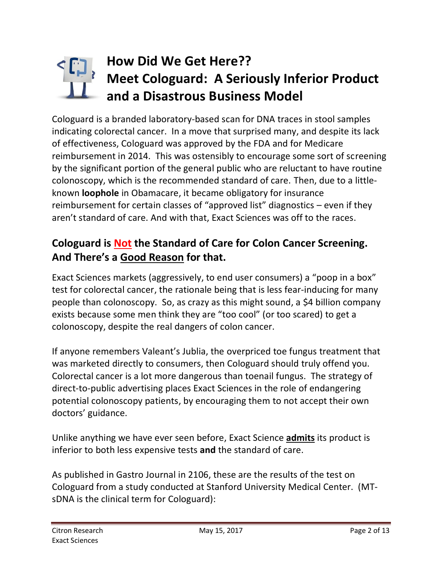## **How Did We Get Here?? Meet Cologuard: A Seriously Inferior Product and a Disastrous Business Model**

Cologuard is a branded laboratory-based scan for DNA traces in stool samples indicating colorectal cancer. In a move that surprised many, and despite its lack of effectiveness, Cologuard was approved by the FDA and for Medicare reimbursement in 2014. This was ostensibly to encourage some sort of screening by the significant portion of the general public who are reluctant to have routine colonoscopy, which is the recommended standard of care. Then, due to a littleknown **loophole** in Obamacare, it became obligatory for insurance reimbursement for certain classes of "approved list" diagnostics – even if they aren't standard of care. And with that, Exact Sciences was off to the races.

### **Cologuard is Not the Standard of Care for Colon Cancer Screening. And There's a Good Reason for that.**

Exact Sciences markets (aggressively, to end user consumers) a "poop in a box" test for colorectal cancer, the rationale being that is less fear-inducing for many people than colonoscopy. So, as crazy as this might sound, a \$4 billion company exists because some men think they are "too cool" (or too scared) to get a colonoscopy, despite the real dangers of colon cancer.

If anyone remembers Valeant's Jublia, the overpriced toe fungus treatment that was marketed directly to consumers, then Cologuard should truly offend you. Colorectal cancer is a lot more dangerous than toenail fungus. The strategy of direct-to-public advertising places Exact Sciences in the role of endangering potential colonoscopy patients, by encouraging them to not accept their own doctors' guidance.

Unlike anything we have ever seen before, Exact Science **admits** its product is inferior to both less expensive tests **and** the standard of care.

As published in Gastro Journal in 2106, these are the results of the test on Cologuard from a study conducted at Stanford University Medical Center. (MTsDNA is the clinical term for Cologuard):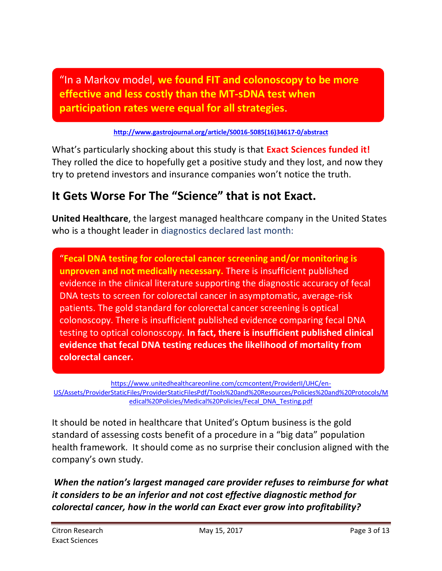"In a Markov model, **we found FIT and colonoscopy to be more effective and less costly than the MT-sDNA test when participation rates were equal for all strategies**.

**[http://www.gastrojournal.org/article/S0016-5085\(16\)34617-0/abstract](http://www.gastrojournal.org/article/S0016-5085(16)34617-0/abstract)**

What's particularly shocking about this study is that **Exact Sciences funded it!** They rolled the dice to hopefully get a positive study and they lost, and now they try to pretend investors and insurance companies won't notice the truth.

## **It Gets Worse For The "Science" that is not Exact.**

**United Healthcare**, the largest managed healthcare company in the United States who is a thought leader in diagnostics declared last month:

"**Fecal DNA testing for colorectal cancer screening and/or monitoring is unproven and not medically necessary.** There is insufficient published evidence in the clinical literature supporting the diagnostic accuracy of fecal DNA tests to screen for colorectal cancer in asymptomatic, average-risk patients. The gold standard for colorectal cancer screening is optical colonoscopy. There is insufficient published evidence comparing fecal DNA testing to optical colonoscopy. **In fact, there is insufficient published clinical evidence that fecal DNA testing reduces the likelihood of mortality from colorectal cancer.**

[https://www.unitedhealthcareonline.com/ccmcontent/ProviderII/UHC/en-](https://www.unitedhealthcareonline.com/ccmcontent/ProviderII/UHC/en-US/Assets/ProviderStaticFiles/ProviderStaticFilesPdf/Tools%20and%20Resources/Policies%20and%20Protocols/Medical%20Policies/Medical%20Policies/Fecal_DNA_Testing.pdf)

[US/Assets/ProviderStaticFiles/ProviderStaticFilesPdf/Tools%20and%20Resources/Policies%20and%20Protocols/M](https://www.unitedhealthcareonline.com/ccmcontent/ProviderII/UHC/en-US/Assets/ProviderStaticFiles/ProviderStaticFilesPdf/Tools%20and%20Resources/Policies%20and%20Protocols/Medical%20Policies/Medical%20Policies/Fecal_DNA_Testing.pdf) [edical%20Policies/Medical%20Policies/Fecal\\_DNA\\_Testing.pdf](https://www.unitedhealthcareonline.com/ccmcontent/ProviderII/UHC/en-US/Assets/ProviderStaticFiles/ProviderStaticFilesPdf/Tools%20and%20Resources/Policies%20and%20Protocols/Medical%20Policies/Medical%20Policies/Fecal_DNA_Testing.pdf)

It should be noted in healthcare that United's Optum business is the gold standard of assessing costs benefit of a procedure in a "big data" population health framework. It should come as no surprise their conclusion aligned with the company's own study.

*When the nation's largest managed care provider refuses to reimburse for what it considers to be an inferior and not cost effective diagnostic method for colorectal cancer, how in the world can Exact ever grow into profitability?*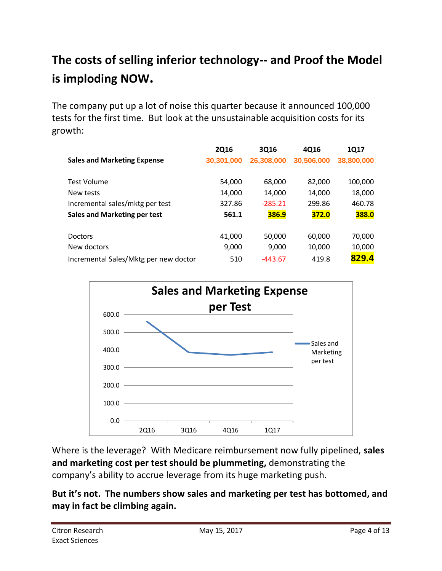## **The costs of selling inferior technology-- and Proof the Model is imploding NOW.**

The company put up a lot of noise this quarter because it announced 100,000 tests for the first time. But look at the unsustainable acquisition costs for its growth:

|                                       | <b>2Q16</b> | 3016       | 4Q16       | 1Q17       |
|---------------------------------------|-------------|------------|------------|------------|
| <b>Sales and Marketing Expense</b>    | 30,301,000  | 26,308,000 | 30,506,000 | 38,800,000 |
|                                       |             |            |            |            |
| <b>Test Volume</b>                    | 54,000      | 68,000     | 82,000     | 100,000    |
| New tests                             | 14,000      | 14,000     | 14,000     | 18,000     |
| Incremental sales/mktg per test       | 327.86      | $-285.21$  | 299.86     | 460.78     |
| Sales and Marketing per test          | 561.1       | 386.9      | 372.0      | 388.0      |
|                                       |             |            |            |            |
| <b>Doctors</b>                        | 41,000      | 50,000     | 60,000     | 70,000     |
| New doctors                           | 9,000       | 9,000      | 10,000     | 10,000     |
| Incremental Sales/Mktg per new doctor | 510         | $-443.67$  | 419.8      | 829.4      |



Where is the leverage? With Medicare reimbursement now fully pipelined, **sales and marketing cost per test should be plummeting,** demonstrating the company's ability to accrue leverage from its huge marketing push.

**But it's not. The numbers show sales and marketing per test has bottomed, and may in fact be climbing again.**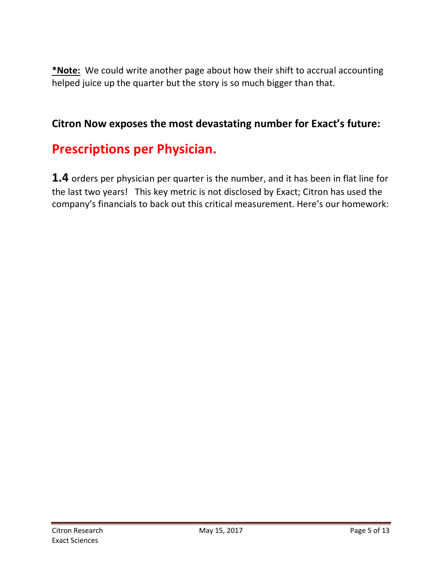**\*Note:** We could write another page about how their shift to accrual accounting helped juice up the quarter but the story is so much bigger than that.

#### **Citron Now exposes the most devastating number for Exact's future:**

## **Prescriptions per Physician.**

**1.4** orders per physician per quarter is the number, and it has been in flat line for the last two years! This key metric is not disclosed by Exact; Citron has used the company's financials to back out this critical measurement. Here's our homework: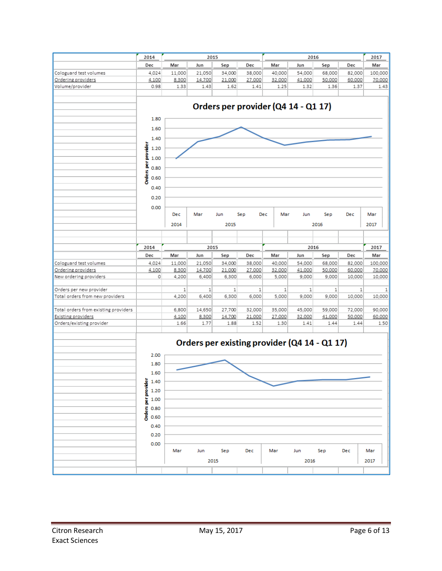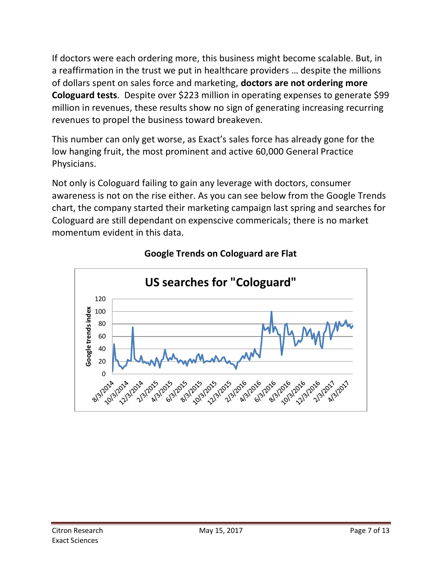If doctors were each ordering more, this business might become scalable. But, in a reaffirmation in the trust we put in healthcare providers … despite the millions of dollars spent on sales force and marketing, **doctors are not ordering more Cologuard tests**. Despite over \$223 million in operating expenses to generate \$99 million in revenues, these results show no sign of generating increasing recurring revenues to propel the business toward breakeven.

This number can only get worse, as Exact's sales force has already gone for the low hanging fruit, the most prominent and active 60,000 General Practice Physicians.

Not only is Cologuard failing to gain any leverage with doctors, consumer awareness is not on the rise either. As you can see below from the Google Trends chart, the company started their marketing campaign last spring and searches for Cologuard are still dependant on expenscive commericals; there is no market momentum evident in this data.



#### **Google Trends on Cologuard are Flat**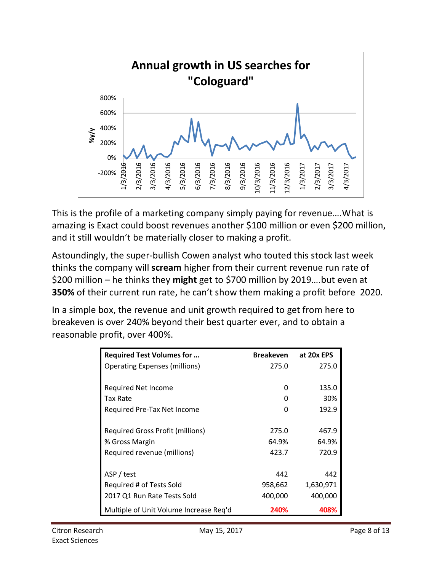

This is the profile of a marketing company simply paying for revenue….What is amazing is Exact could boost revenues another \$100 million or even \$200 million, and it still wouldn't be materially closer to making a profit.

Astoundingly, the super-bullish Cowen analyst who touted this stock last week thinks the company will **scream** higher from their current revenue run rate of \$200 million – he thinks they **might** get to \$700 million by 2019….but even at **350%** of their current run rate, he can't show them making a profit before 2020.

In a simple box, the revenue and unit growth required to get from here to breakeven is over 240% beyond their best quarter ever, and to obtain a reasonable profit, over 400%.

| <b>Required Test Volumes for </b>       | <b>Breakeven</b> | at 20x EPS |
|-----------------------------------------|------------------|------------|
| <b>Operating Expenses (millions)</b>    | 275.0            | 275.0      |
|                                         |                  |            |
| <b>Required Net Income</b>              | 0                | 135.0      |
| Tax Rate                                | O                | 30%        |
| Required Pre-Tax Net Income             | O                | 192.9      |
|                                         |                  |            |
| <b>Required Gross Profit (millions)</b> | 275.0            | 467.9      |
| % Gross Margin                          | 64.9%            | 64.9%      |
| Required revenue (millions)             | 423.7            | 720.9      |
|                                         |                  |            |
| ASP / test                              | 442              | 442        |
| Required # of Tests Sold                | 958,662          | 1,630,971  |
| 2017 Q1 Run Rate Tests Sold             | 400,000          | 400,000    |
| Multiple of Unit Volume Increase Req'd  | 240%             | 408%       |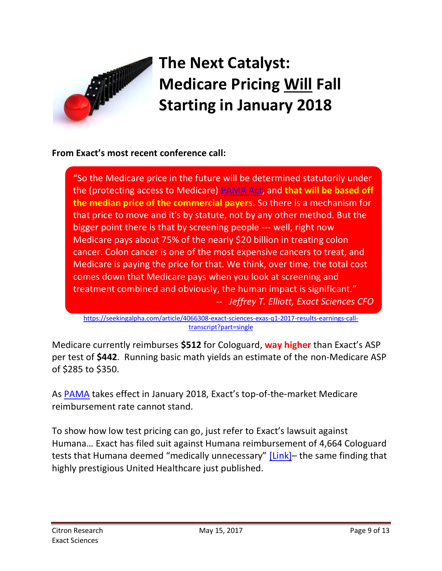

# **The Next Catalyst: Medicare Pricing Will Fall Starting in January 2018**

#### **From Exact's most recent conference call:**

"So the Medicare price in the future will be determined statutorily under the (protecting access to Medicare) [PAMA Act,](https://en.wikipedia.org/wiki/Protecting_Access_to_Medicare_Act_of_2014) and **that will be based off the median price of the commercial payers**. So there is a mechanism for that price to move and it's by statute, not by any other method. But the bigger point there is that by screening people --- well, right now Medicare pays about 75% of the nearly \$20 billion in treating colon cancer. Colon cancer is one of the most expensive cancers to treat, and Medicare is paying the price for that. We think, over time, the total cost comes down that Medicare pays when you look at screening and treatment combined and obviously, the human impact is significant." *-- Jeffrey T. Elliott, Exact Sciences CFO*

[https://seekingalpha.com/article/4066308-exact-sciences-exas-q1-2017-results-earnings-call](https://seekingalpha.com/article/4066308-exact-sciences-exas-q1-2017-results-earnings-call-transcript?part=single)[transcript?part=single](https://seekingalpha.com/article/4066308-exact-sciences-exas-q1-2017-results-earnings-call-transcript?part=single)

Medicare currently reimburses **\$512** for Cologuard, **way higher** than Exact's ASP per test of **\$442**. Running basic math yields an estimate of the non-Medicare ASP of \$285 to \$350.

As [PAMA](https://www.cms.gov/medicare/medicare-fee-for-service-payment/clinicallabfeesched/pama-regulations.html) takes effect in January 2018, Exact's top-of-the-market Medicare reimbursement rate cannot stand.

To show how low test pricing can go, just refer to Exact's lawsuit against Humana… Exact has filed suit against Humana reimbursement of 4,664 Cologuard tests that Humana deemed "medically unnecessary" [\[Link\]](/wp-content/uploads/2017/05/Exact_Sciences_lawsuit_humana.pdf)– the same finding that highly prestigious United Healthcare just published.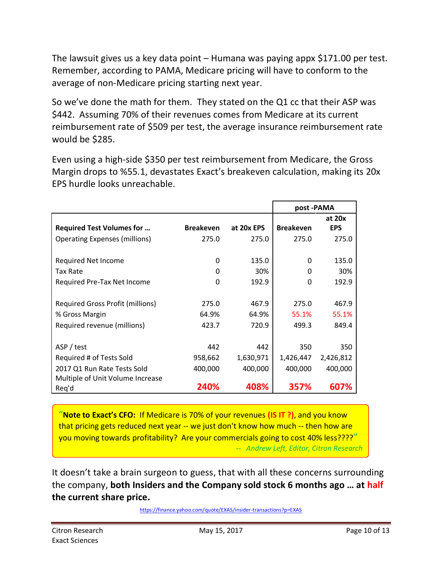The lawsuit gives us a key data point – Humana was paying appx \$171.00 per test. Remember, according to PAMA, Medicare pricing will have to conform to the average of non-Medicare pricing starting next year.

So we've done the math for them. They stated on the Q1 cc that their ASP was \$442. Assuming 70% of their revenues comes from Medicare at its current reimbursement rate of \$509 per test, the average insurance reimbursement rate would be \$285.

Even using a high-side \$350 per test reimbursement from Medicare, the Gross Margin drops to %55.1, devastates Exact's breakeven calculation, making its 20x EPS hurdle looks unreachable.

|                                           |                  |            | post-PAMA        |            |
|-------------------------------------------|------------------|------------|------------------|------------|
|                                           |                  |            |                  | at $20x$   |
| <b>Required Test Volumes for </b>         | <b>Breakeven</b> | at 20x EPS | <b>Breakeven</b> | <b>EPS</b> |
| <b>Operating Expenses (millions)</b>      | 275.0            | 275.0      | 275.0            | 275.0      |
| Required Net Income                       | 0                | 135.0      | 0                | 135.0      |
| Tax Rate                                  | 0                | 30%        | 0                | 30%        |
| Required Pre-Tax Net Income               | 0                | 192.9      | 0                | 192.9      |
| <b>Required Gross Profit (millions)</b>   | 275.0            | 467.9      | 275.0            | 467.9      |
| % Gross Margin                            | 64.9%            | 64.9%      | 55.1%            | 55.1%      |
| Required revenue (millions)               | 423.7            | 720.9      | 499.3            | 849.4      |
| ASP / test                                | 442              | 442        | 350              | 350        |
| Required # of Tests Sold                  | 958,662          | 1,630,971  | 1,426,447        | 2,426,812  |
| 2017 Q1 Run Rate Tests Sold               | 400,000          | 400,000    | 400,000          | 400,000    |
| Multiple of Unit Volume Increase<br>Req'd | 240%             | 408%       | 357%             | 607%       |

"**Note to Exact's CFO:** If Medicare is 70% of your revenues **(IS IT ?)**, and you know that pricing gets reduced next year -- we just don't know how much -- then how are you moving towards profitability? Are your commercials going to cost 40% less????" *-- Andrew Left, Editor, Citron Research*

It doesn't take a brain surgeon to guess, that with all these concerns surrounding the company, **both Insiders and the Company sold stock 6 months ago … at half the current share price.** 

<https://finance.yahoo.com/quote/EXAS/insider-transactions?p=EXAS>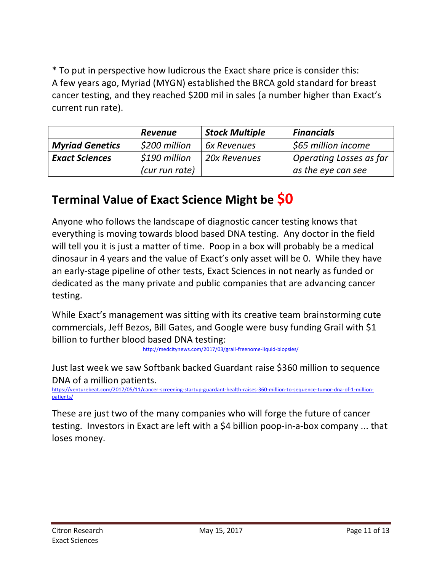\* To put in perspective how ludicrous the Exact share price is consider this: A few years ago, Myriad (MYGN) established the BRCA gold standard for breast cancer testing, and they reached \$200 mil in sales (a number higher than Exact's current run rate).

|                        | <b>Revenue</b> | <b>Stock Multiple</b> | <b>Financials</b>                |
|------------------------|----------------|-----------------------|----------------------------------|
| <b>Myriad Genetics</b> | \$200 million  | 6x Revenues           | \$65 million income              |
| <b>Exact Sciences</b>  | \$190 million  | 20x Revenues          | Operating Losses as far          |
|                        | (cur run rate) |                       | $\frac{1}{2}$ as the eye can see |

## **Terminal Value of Exact Science Might be \$0**

Anyone who follows the landscape of diagnostic cancer testing knows that everything is moving towards blood based DNA testing. Any doctor in the field will tell you it is just a matter of time. Poop in a box will probably be a medical dinosaur in 4 years and the value of Exact's only asset will be 0. While they have an early-stage pipeline of other tests, Exact Sciences in not nearly as funded or dedicated as the many private and public companies that are advancing cancer testing.

While Exact's management was sitting with its creative team brainstorming cute commercials, Jeff Bezos, Bill Gates, and Google were busy funding Grail with \$1 billion to further blood based DNA testing:

<http://medcitynews.com/2017/03/grail-freenome-liquid-biopsies/>

Just last week we saw Softbank backed Guardant raise \$360 million to sequence DNA of a million patients.

[https://venturebeat.com/2017/05/11/cancer-screening-startup-guardant-health-raises-360-million-to-sequence-tumor-dna-of-1-million](https://venturebeat.com/2017/05/11/cancer-screening-startup-guardant-health-raises-360-million-to-sequence-tumor-dna-of-1-million-patients/)[patients/](https://venturebeat.com/2017/05/11/cancer-screening-startup-guardant-health-raises-360-million-to-sequence-tumor-dna-of-1-million-patients/)

These are just two of the many companies who will forge the future of cancer testing. Investors in Exact are left with a \$4 billion poop-in-a-box company ... that loses money.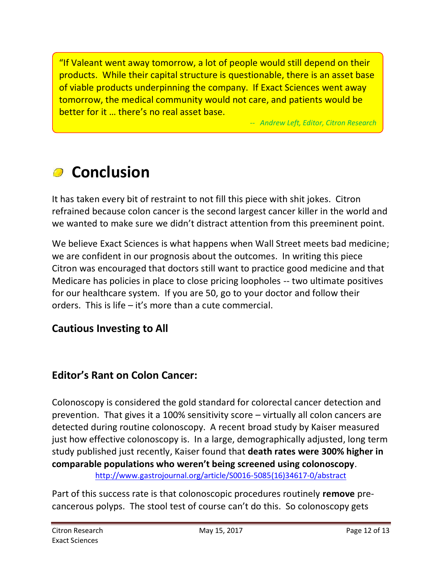"If Valeant went away tomorrow, a lot of people would still depend on their products. While their capital structure is questionable, there is an asset base of viable products underpinning the company. If Exact Sciences went away tomorrow, the medical community would not care, and patients would be better for it … there's no real asset base.

*-- Andrew Left, Editor, Citron Research*

# **Conclusion**

It has taken every bit of restraint to not fill this piece with shit jokes. Citron refrained because colon cancer is the second largest cancer killer in the world and we wanted to make sure we didn't distract attention from this preeminent point.

We believe Exact Sciences is what happens when Wall Street meets bad medicine; we are confident in our prognosis about the outcomes. In writing this piece Citron was encouraged that doctors still want to practice good medicine and that Medicare has policies in place to close pricing loopholes -- two ultimate positives for our healthcare system. If you are 50, go to your doctor and follow their orders. This is life – it's more than a cute commercial.

#### **Cautious Investing to All**

#### **Editor's Rant on Colon Cancer:**

Colonoscopy is considered the gold standard for colorectal cancer detection and prevention. That gives it a 100% sensitivity score – virtually all colon cancers are detected during routine colonoscopy. A recent broad study by Kaiser measured just how effective colonoscopy is. In a large, demographically adjusted, long term study published just recently, Kaiser found that **death rates were 300% higher in comparable populations who weren't being screened using colonoscopy**.

[http://www.gastrojournal.org/article/S0016-5085\(16\)34617-0/abstract](http://www.gastrojournal.org/article/S0016-5085(16)34617-0/abstract)

Part of this success rate is that colonoscopic procedures routinely **remove** precancerous polyps. The stool test of course can't do this. So colonoscopy gets